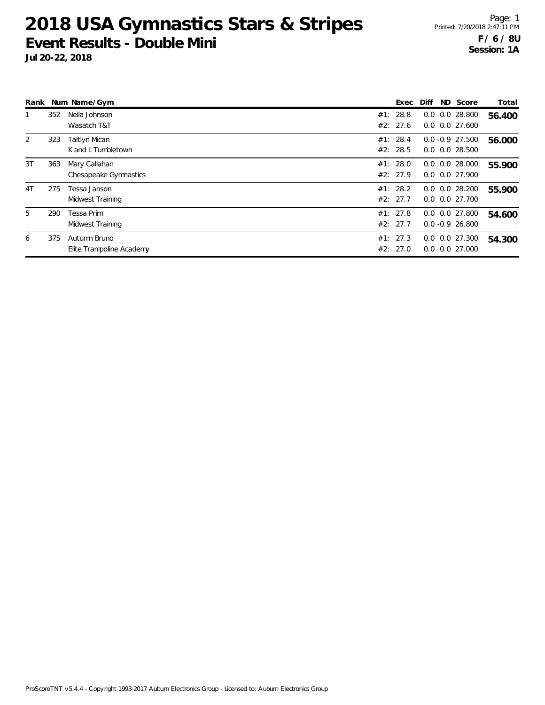|    |     | Rank Num Name/Gym                        |     | Exec                 | Diff | ND Score                                   | Total  |
|----|-----|------------------------------------------|-----|----------------------|------|--------------------------------------------|--------|
|    | 352 | Neila Johnson<br>Wasatch T&T             | #1: | 28.8<br>#2: 27.6     |      | $0.0$ $0.0$ 28.800<br>$0.0$ $0.0$ 27.600   | 56.400 |
| 2  | 323 | Taitlyn Mican<br>K and L Tumbletown      |     | #1: 28.4<br>#2: 28.5 |      | $0.0 - 0.9$ 27.500<br>$0.0$ $0.0$ 28.500   | 56.000 |
| 3T | 363 | Mary Callahan<br>Chesapeake Gymnastics   |     | #1: 28.0<br>#2: 27.9 |      | $0.0$ $0.0$ 28.000<br>$0.0$ $0.0$ 27.900   | 55.900 |
| 4T | 275 | Tessa Janson<br>Midwest Training         |     | #1: 28.2<br>#2: 27.7 |      | $0.0$ $0.0$ 28.200<br>$0.0$ $0.0$ $27.700$ | 55.900 |
| 5  | 290 | Tessa Prim<br>Midwest Training           |     | #1: 27.8<br>#2: 27.7 |      | $0.0$ $0.0$ 27.800<br>$0.0 - 0.9$ 26.800   | 54.600 |
| 6  | 375 | Autumn Bruno<br>Elite Trampoline Academy |     | #1: 27.3<br>#2: 27.0 |      | $0.0$ $0.0$ 27.300<br>$0.0$ $0.0$ 27.000   | 54.300 |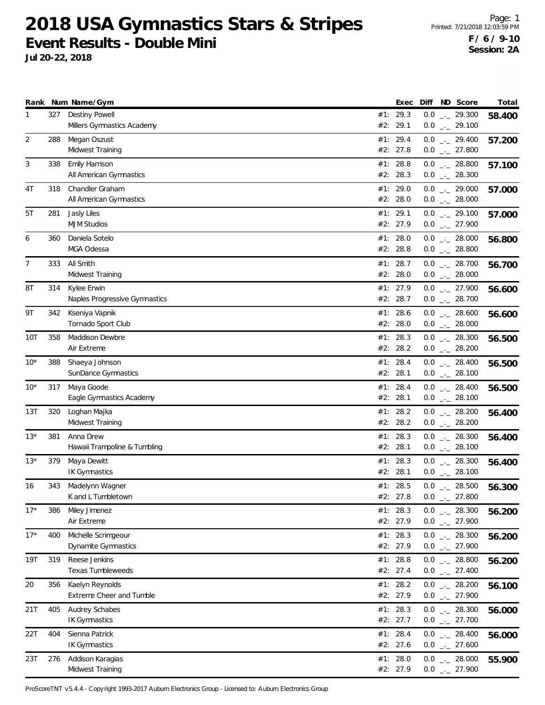**Jul 20-22, 2018**

|                |     | Rank Num Name/Gym                            |     | Exec                 | Diff ND Score                                    | Total  |
|----------------|-----|----------------------------------------------|-----|----------------------|--------------------------------------------------|--------|
| 1              | 327 | Destiny Powell<br>Millers Gymnastics Academy | #2: | #1: 29.3<br>29.1     | $0.0$ _ 29.300<br>$0.0$ $_{-}$ 29.100            | 58.400 |
| $\overline{2}$ | 288 | Megan Oszust<br>Midwest Training             |     | #1: 29.4<br>#2: 27.8 | $0.0$ $_{\leftarrow}$ 29.400<br>$0.0$ _._ 27.800 | 57.200 |
| 3              | 338 | Emily Harrison<br>All American Gymnastics    |     | #1: 28.8<br>#2: 28.3 | $0.0$ _ 28.800<br>$0.0$ _ 28.300                 | 57.100 |
| 4T             | 318 | Chandler Graham<br>All American Gymnastics   |     | #1: 29.0<br>#2: 28.0 | $0.0$ _ 29.000<br>$0.0$ _ 28.000                 | 57.000 |
| 5T             | 281 | Jasly Liles<br><b>MJM Studios</b>            |     | #1: 29.1<br>#2: 27.9 | $0.0$ $_{-}$ 29.100<br>$0.0$ $_{-}$ 27.900       | 57.000 |
| 6              | 360 | Daniela Sotelo<br>MGA Odessa                 |     | #1: 28.0<br>#2: 28.8 | $0.0$ _ 28.000<br>$0.0$ _ 28.800                 | 56.800 |
| $\overline{7}$ | 333 | Ali Smith<br>Midwest Training                |     | #1: 28.7<br>#2: 28.0 | $0.0$ _ 28.700<br>$0.0$ _ 28.000                 | 56.700 |
| 8T             | 314 | Kylee Erwin<br>Naples Progressive Gymnastics |     | #1: 27.9<br>#2: 28.7 | $0.0$ $_{-}$ 27.900<br>$0.0$ _ 28.700            | 56.600 |
| 9Τ             | 342 | Kseniya Vapnik<br>Tornado Sport Club         |     | #1: 28.6<br>#2: 28.0 | $0.0$ _ 28.600<br>$0.0$ _ 28.000                 | 56.600 |
| 10T            | 358 | Maddison Dewbre<br>Air Extreme               |     | #1: 28.3<br>#2: 28.2 | $0.0$ _ 28.300<br>$0.0$ $_{-}$ 28.200            | 56.500 |
| $10*$          | 388 | Shaeya Johnson<br>SunDance Gymnastics        |     | #1: 28.4<br>#2: 28.1 | $0.0$ _ 28.400<br>$0.0$ _ 28.100                 | 56.500 |
| $10*$          | 317 | Maya Goode<br>Eagle Gymnastics Academy       | #1: | 28.4<br>#2: 28.1     | $0.0$ _ 28.400<br>$0.0$ _ 28.100                 | 56.500 |
| 13T            | 320 | Loghan Majka<br>Midwest Training             |     | #1: 28.2<br>#2: 28.2 | $0.0$ _ 28.200<br>$0.0$ _ 28.200                 | 56.400 |
| 13*            | 381 | Anna Drew<br>Hawaii Trampoline & Tumbling    |     | #1: 28.3<br>#2: 28.1 | $0.0$ _ 28.300<br>$0.0$ _._ 28.100               | 56.400 |
| $13*$          | 379 | Maya Dewitt<br><b>IK Gymnastics</b>          |     | #1: 28.3<br>#2: 28.1 | $0.0$ _ 28.300<br>$0.0$ _ 28.100                 | 56.400 |
| 16             | 343 | Madelynn Wagner<br>K and L Tumbletown        |     | #1: 28.5<br>#2: 27.8 | $0.0$ _ 28.500<br>$0.0$ _ 27.800                 | 56.300 |
| $17*$          | 386 | Miley Jimenez<br>Air Extreme                 |     | #1: 28.3<br>#2: 27.9 | $0.0$ - 28.300<br>$0.0$ _ 27.900                 | 56.200 |
| $17*$          | 400 | Michelle Scrimgeour<br>Dynamite Gymnastics   |     | #1: 28.3<br>#2: 27.9 | $0.0$ _ 28.300<br>$0.0$ $_{-}$ 27.900            | 56.200 |
| 19T            | 319 | Reese Jenkins<br>Texas Tumbleweeds           |     | #1: 28.8<br>#2: 27.4 | $0.0$ _ 28.800<br>$0.0$ _ 27.400                 | 56.200 |
| 20             | 356 | Kaelyn Reynolds<br>Extreme Cheer and Tumble  |     | #1: 28.2<br>#2: 27.9 | $0.0$ _ 28.200<br>$0.0$ $_{-}$ 27.900            | 56.100 |
| 21T            | 405 | Audrey Schabes<br>IK Gymnastics              |     | #1: 28.3<br>#2: 27.7 | $0.0$ $_{\leftarrow}$ 28.300<br>$0.0$ _ 27.700   | 56.000 |
| 22T            | 404 | Sienna Patrick<br><b>IK Gymnastics</b>       |     | #1: 28.4<br>#2: 27.6 | $0.0$ $_{-}$ 28.400<br>$0.0$ _ 27.600            | 56.000 |
| 23T            | 276 | Addison Karagias<br>Midwest Training         |     | #1: 28.0<br>#2: 27.9 | $0.0$ _ 28.000<br>$0.0$ _ 27.900                 | 55.900 |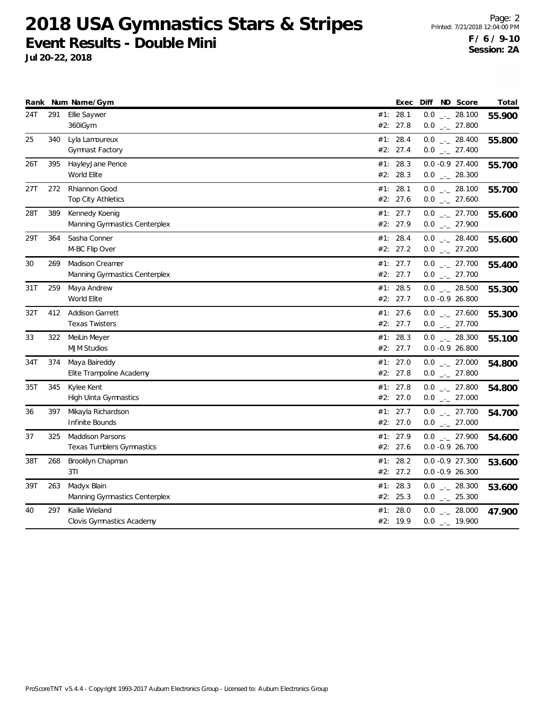**Jul 20-22, 2018**

Page: 2 Printed: 7/21/2018 12:04:00 PM **F / 6 / 9-10 Session: 2A**

|     |     | Rank Num Name/Gym                                       |     | Exec                 | Diff ND Score                          | Total  |
|-----|-----|---------------------------------------------------------|-----|----------------------|----------------------------------------|--------|
| 24T | 291 | Ellie Saywer<br>360iGym                                 |     | #1: 28.1<br>#2: 27.8 | $0.0$ _ 28.100<br>$0.0$ _ 27.800       | 55.900 |
| 25  | 340 | Lyla Lamoureux<br>Gymnast Factory                       |     | #1: 28.4<br>#2: 27.4 | $0.0$ _ 28.400<br>$0.0$ _ 27.400       | 55.800 |
| 26T | 395 | HayleyJane Pence<br>World Elite                         |     | #1: 28.3<br>#2: 28.3 | $0.0 - 0.9 27.400$<br>$0.0$ _ 28.300   | 55.700 |
| 27T | 272 | Rhiannon Good<br><b>Top City Athletics</b>              |     | #1: 28.1<br>#2: 27.6 | $0.0$ _ 28.100<br>$0.0$ _ 27.600       | 55.700 |
| 28T | 389 | Kennedy Koenig<br>Manning Gymnastics Centerplex         |     | #1: 27.7<br>#2: 27.9 | $0.0$ _ 27.700<br>$0.0$ _ 27.900       | 55.600 |
| 29T | 364 | Sasha Conner<br>M-BC Flip Over                          |     | #1: 28.4<br>#2: 27.2 | $0.0$ _ 28.400<br>$0.0$ _ 27.200       | 55.600 |
| 30  | 269 | <b>Madison Creamer</b><br>Manning Gymnastics Centerplex |     | #1: 27.7<br>#2: 27.7 | $0.0$ _ 27.700<br>$0.0$ _ 27.700       | 55.400 |
| 31T | 259 | Maya Andrew<br>World Elite                              |     | #1: 28.5<br>#2: 27.7 | $0.0$ _._ 28.500<br>$0.0 - 0.9 26.800$ | 55.300 |
| 32T | 412 | <b>Addison Garrett</b><br><b>Texas Twisters</b>         |     | #1: 27.6<br>#2: 27.7 | $0.0$ _ 27.600<br>$0.0$ _ 27.700       | 55.300 |
| 33  | 322 | MeiLin Meyer<br><b>MJM Studios</b>                      |     | #1: 28.3<br>#2: 27.7 | $0.0$ _ 28.300<br>$0.0 - 0.9 26.800$   | 55.100 |
| 34T | 374 | Maya Baireddy<br>Elite Trampoline Academy               |     | #1: 27.0<br>#2: 27.8 | $0.0$ _ 27.000<br>$0.0$ _ 27.800       | 54.800 |
| 35T | 345 | Kylee Kent<br>High Uinta Gymnastics                     |     | #1: 27.8<br>#2: 27.0 | $0.0$ _ 27.800<br>$0.0$ _ 27.000       | 54.800 |
| 36  | 397 | Mikayla Richardson<br>Infinite Bounds                   |     | #1: 27.7<br>#2: 27.0 | $0.0$ _ 27.700<br>$0.0$ _ 27.000       | 54.700 |
| 37  | 325 | <b>Maddison Parsons</b><br>Texas Tumblers Gymnastics    |     | #1: 27.9<br>#2: 27.6 | $0.0$ _ 27.900<br>$0.0 - 0.9 26.700$   | 54.600 |
| 38T | 268 | Brooklyn Chapman<br>3T1                                 | #1: | 28.2<br>#2: 27.2     | $0.0 -0.9$ 27.300<br>$0.0 -0.9 26.300$ | 53.600 |
| 39T | 263 | Madyx Blain<br>Manning Gymnastics Centerplex            |     | #1: 28.3<br>#2: 25.3 | $0.0$ _ 28.300<br>$0.0$ _ 25.300       | 53.600 |
| 40  | 297 | Kailie Wieland<br>Clovis Gymnastics Academy             | #1: | 28.0<br>#2: 19.9     | $0.0$ _ 28.000<br>$0.0$ _ $-$ 19.900   | 47.900 |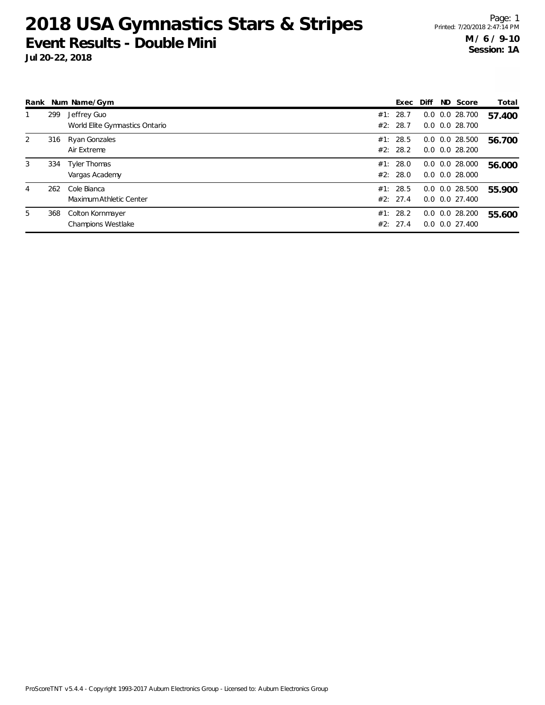| Rank |     | Num Name/Gym                                  | Exec                 | Diff | ND Score                                           | Total  |
|------|-----|-----------------------------------------------|----------------------|------|----------------------------------------------------|--------|
|      | 299 | Jeffrey Guo<br>World Elite Gymnastics Ontario | #1: 28.7<br>#2: 28.7 |      | $0.0$ $0.0$ 28.700<br>$0.0$ $0.0$ 28.700           | 57.400 |
| 2    | 316 | Ryan Gonzales<br>Air Extreme                  | #1: 28.5<br>#2: 28.2 |      | $0.0$ $0.0$ 28.500<br>$0.0$ $0.0$ 28.200           | 56.700 |
| 3    | 334 | <b>Tyler Thomas</b><br>Vargas Academy         | #1: 28.0<br>#2: 28.0 |      | $0.0$ $0.0$ 28.000<br>0.0 0.0 28.000               | 56.000 |
| 4    | 262 | Cole Bianca<br>Maximum Athletic Center        | #1: 28.5<br>#2: 27.4 |      | $0.0$ $0.0$ 28.500<br>$0.0$ $0.0$ $27.400$         | 55.900 |
| 5    | 368 | Colton Kornmayer<br><b>Champions Westlake</b> | #1: 28.2<br>#2: 27.4 |      | $0.0$ $0.0$ 28.200<br>$0.0 \quad 0.0 \quad 27.400$ | 55.600 |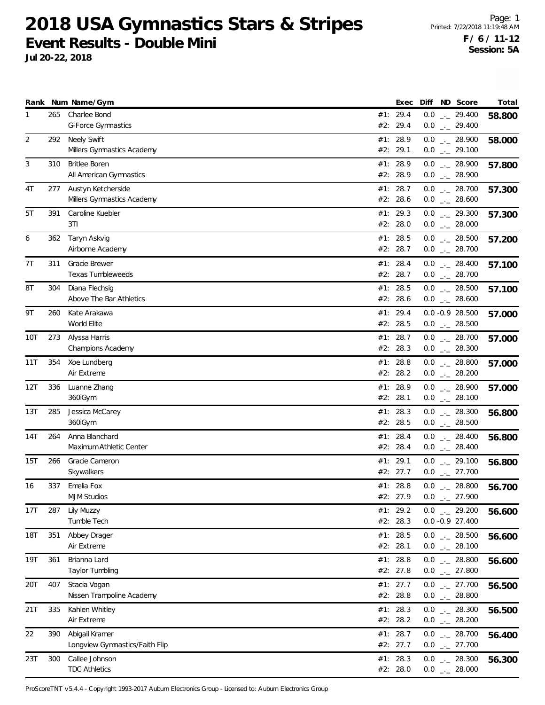**Jul 20-22, 2018**

|     |     | Rank Num Name/Gym                                |     | Exec                 | Diff ND Score                           | Total  |
|-----|-----|--------------------------------------------------|-----|----------------------|-----------------------------------------|--------|
| 1   | 265 | Charlee Bond<br><b>G-Force Gymnastics</b>        |     | #1: 29.4<br>#2: 29.4 | $0.0$ _ 29.400<br>$0.0$ _ 29.400        | 58.800 |
| 2   | 292 | <b>Neely Swift</b><br>Millers Gymnastics Academy |     | #1: 28.9<br>#2: 29.1 | $0.0$ _ 28.900<br>$0.0$ _ 29.100        | 58.000 |
| 3   | 310 | <b>Britlee Boren</b><br>All American Gymnastics  |     | #1: 28.9<br>#2: 28.9 | $0.0$ _ 28.900<br>$0.0$ _ 28.900        | 57.800 |
| 4T  | 277 | Austyn Ketcherside<br>Millers Gymnastics Academy |     | #1: 28.7<br>#2: 28.6 | $0.0$ _ 28.700<br>$0.0$ _ 28.600        | 57.300 |
| 5T  | 391 | Caroline Kuebler<br>3T1                          |     | #1: 29.3<br>#2: 28.0 | $0.0$ _ 29.300<br>$0.0$ _ 28.000        | 57.300 |
| 6   | 362 | Taryn Askvig<br>Airborne Academy                 |     | #1: 28.5<br>#2: 28.7 | $0.0$ _ 28.500<br>$0.0$ _ 28.700        | 57.200 |
| 7T  | 311 | Gracie Brewer<br>Texas Tumbleweeds               |     | #1: 28.4<br>#2: 28.7 | $0.0$ _ 28.400<br>$0.0$ _ 28.700        | 57.100 |
| 8T  | 304 | Diana Flechsig<br>Above The Bar Athletics        |     | #1: 28.5<br>#2: 28.6 | $0.0$ _ 28.500<br>$0.0$ _ 28.600        | 57.100 |
| 9Τ  | 260 | Kate Arakawa<br>World Elite                      |     | #1: 29.4<br>#2: 28.5 | $0.0 - 0.9 28.500$<br>$0.0$ _ 28.500    | 57.000 |
| 10T | 273 | Alyssa Harris<br>Champions Academy               |     | #1: 28.7<br>#2: 28.3 | $0.0$ _ 28.700<br>$0.0$ _ 28.300        | 57.000 |
| 11T | 354 | Xoe Lundberg<br>Air Extreme                      | #1: | 28.8<br>#2: 28.2     | $0.0$ _ 28.800<br>$0.0$ _ 28.200        | 57.000 |
| 12T | 336 | Luanne Zhang<br>360iGym                          |     | #1: 28.9<br>#2: 28.1 | $0.0$ _ 28.900<br>$0.0$ _ 28.100        | 57.000 |
| 13T | 285 | Jessica McCarey<br>360iGym                       |     | #1: 28.3<br>#2: 28.5 | $0.0$ _ 28.300<br>$0.0$ _ 28.500        | 56.800 |
| 14T | 264 | Anna Blanchard<br>Maximum Athletic Center        |     | #1: 28.4<br>#2: 28.4 | $0.0$ _._ 28.400<br>$0.0$ _ 28.400      | 56.800 |
| 15T | 266 | Gracie Cameron<br>Skywalkers                     | #1: | 29.1<br>#2: 27.7     | $0.0$ _ 29.100<br>$0.0$ $_{-}$ 27.700   | 56.800 |
| 16  | 337 | Emelia Fox<br><b>MJM Studios</b>                 |     | #1: 28.8<br>#2: 27.9 | $0.0$ _._ 28.800<br>$0.0$ . 27.900      | 56.700 |
| 17T | 287 | Lily Muzzy<br>Tumble Tech                        |     | #1: 29.2<br>#2: 28.3 | $0.0$ $_{-}$ 29.200<br>$0.0 -0.927.400$ | 56.600 |
| 18T | 351 | Abbey Drager<br>Air Extreme                      |     | #1: 28.5<br>#2: 28.1 | $0.0$ _ 28.500<br>$0.0$ _ 28.100        | 56.600 |
| 19T | 361 | Brianna Lard<br>Taylor Tumbling                  |     | #1: 28.8<br>#2: 27.8 | $0.0$ _ 28.800<br>$0.0$ _ 27.800        | 56.600 |
| 20T | 407 | Stacia Vogan<br>Nissen Trampoline Academy        |     | #1: 27.7<br>#2: 28.8 | $0.0$ $_{--}$ 27.700<br>$0.0$ _ 28.800  | 56.500 |
| 21T | 335 | Kahlen Whitley<br>Air Extreme                    |     | #1: 28.3<br>#2: 28.2 | $0.0$ _ 28.300<br>$0.0$ _ 28.200        | 56.500 |
| 22  | 390 | Abigail Kramer<br>Longview Gymnastics/Faith Flip |     | #1: 28.7<br>#2: 27.7 | $0.0$ _ 28.700<br>$0.0$ _ 27.700        | 56.400 |
| 23T | 300 | Callee Johnson<br><b>TDC Athletics</b>           |     | #1: 28.3<br>#2: 28.0 | $0.0$ _ 28.300<br>$0.0$ _ 28.000        | 56.300 |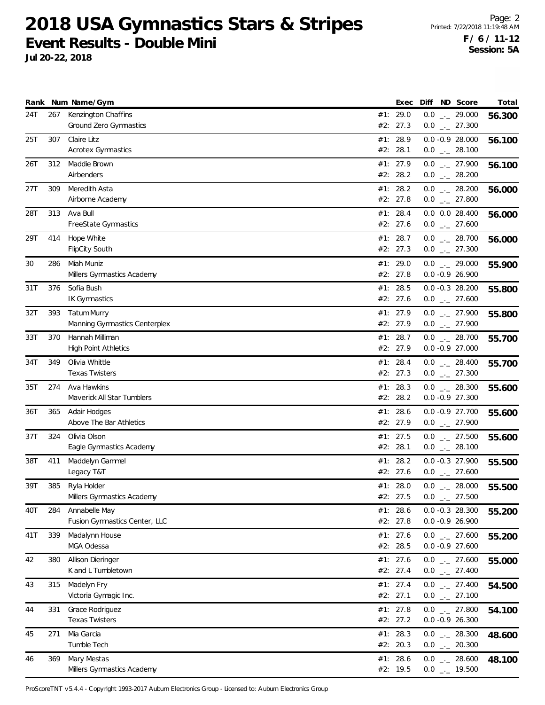**Jul 20-22, 2018**

|     |     | Rank Num Name/Gym                                    |     | Exec                   |     | Diff ND Score                                      | Total  |
|-----|-----|------------------------------------------------------|-----|------------------------|-----|----------------------------------------------------|--------|
| 24T | 267 | Kenzington Chaffins<br><b>Ground Zero Gymnastics</b> |     | #1: 29.0<br>#2: 27.3   |     | $0.0$ _ 29.000<br>$0.0$ $_{-}$ 27.300              | 56.300 |
| 25T | 307 | Claire Litz<br><b>Acrotex Gymnastics</b>             |     | #1: 28.9<br>#2: 28.1   |     | $0.0 -0.9 28.000$<br>$0.0$ _ 28.100                | 56.100 |
| 26T | 312 | Maddie Brown<br>Airbenders                           |     | #1: 27.9<br>#2: 28.2   |     | $0.0$ _ 27.900<br>$0.0$ _ 28.200                   | 56.100 |
| 27T | 309 | Meredith Asta<br>Airborne Academy                    |     | #1: 28.2<br>#2: 27.8   |     | $0.0$ _ 28.200<br>$0.0$ $_{-}$ 27.800              | 56.000 |
| 28T | 313 | Ava Bull<br>FreeState Gymnastics                     |     | #1: 28.4<br>#2: 27.6   |     | $0.0$ $0.0$ 28.400<br>$0.0$ $_{-}$ 27.600          | 56.000 |
| 29T | 414 | Hope White<br><b>FlipCity South</b>                  |     | #1: 28.7<br>#2: 27.3   |     | $0.0$ _ 28.700<br>$0.0$ $_{-}$ 27.300              | 56.000 |
| 30  | 286 | Miah Muniz<br>Millers Gymnastics Academy             |     | #1: 29.0<br>#2: 27.8   |     | $0.0$ _ 29.000<br>$0.0 - 0.9 26.900$               | 55.900 |
| 31T | 376 | Sofia Bush<br><b>IK Gymnastics</b>                   |     | #1: 28.5<br>#2: 27.6   |     | $0.0 -0.3$ 28.200<br>$0.0$ $_{-}$ 27.600           | 55.800 |
| 32T | 393 | <b>Tatum Murry</b><br>Manning Gymnastics Centerplex  |     | #1: 27.9<br>#2: 27.9   |     | $0.0$ $_{-}$ 27.900<br>$0.0$ $_{-}$ 27.900         | 55.800 |
| 33T | 370 | Hannah Milliman<br><b>High Point Athletics</b>       |     | #1: 28.7<br>#2: 27.9   |     | $0.0$ _ 28.700<br>$0.0 - 0.9 27.000$               | 55.700 |
| 34T | 349 | Olivia Whittle<br><b>Texas Twisters</b>              |     | #1: 28.4<br>#2: 27.3   |     | $0.0$ _ 28.400<br>$0.0$ _ 27.300                   | 55.700 |
| 35T | 274 | Ava Hawkins<br>Maverick All Star Tumblers            | #1: | 28.3<br>#2: 28.2       |     | $0.0$ _ 28.300<br>$0.0 -0.9 27.300$                | 55.600 |
| 36T | 365 | Adair Hodges<br>Above The Bar Athletics              |     | #1: 28.6<br>#2: 27.9   |     | 0.0 -0.9 27.700<br>$0.0$ _ 27.900                  | 55.600 |
| 37T | 324 | Olivia Olson<br>Eagle Gymnastics Academy             |     | #1: 27.5<br>#2: 28.1   |     | $0.0$ _ 27.500<br>$0.0$ _ 28.100                   | 55.600 |
| 38T | 411 | Maddelyn Gammel<br>Legacy T&T                        |     | #1: 28.2<br>#2: 27.6   |     | $0.0 - 0.3$ 27.900<br>$0.0$ _ 27.600               | 55.500 |
| 39T | 385 | Ryla Holder<br>Millers Gymnastics Academy            |     | #1: 28.0<br>#2: 27.5   | 0.0 | $0.0$ _._ 28.000<br>$\frac{1}{2}$ 27.500           | 55.500 |
| 40T | 284 | Annabelle May<br>Fusion Gymnastics Center, LLC       |     | #1: $28.6$<br>#2: 27.8 |     | $0.0 - 0.3$ 28.300<br>$0.0 -0.9 26.900$            | 55.200 |
| 41T | 339 | Madalynn House<br>MGA Odessa                         |     | #1: 27.6<br>#2: 28.5   |     | $0.0$ $_{\leftarrow}$ 27.600<br>$0.0 - 0.9 27.600$ | 55.200 |
| 42  | 380 | Allison Dieringer<br>K and L Tumbletown              |     | #1: 27.6<br>#2: 27.4   |     | $0.0$ _ 27.600<br>$0.0$ _ 27.400                   | 55.000 |
| 43  | 315 | Madelyn Fry<br>Victoria Gymagic Inc.                 |     | #1: 27.4<br>#2: 27.1   |     | $0.0$ $_{-}$ 27.400<br>$0.0$ _ 27.100              | 54.500 |
| 44  | 331 | Grace Rodriguez<br><b>Texas Twisters</b>             |     | #1: $27.8$<br>#2: 27.2 |     | $0.0$ $_{\leftarrow}$ 27.800<br>$0.0 - 0.9 26.300$ | 54.100 |
| 45  | 271 | Mia Garcia<br>Tumble Tech                            |     | #1: 28.3<br>#2: 20.3   |     | $0.0$ _ 28.300<br>$0.0$ _ 20.300                   | 48.600 |
| 46  | 369 | Mary Mestas<br>Millers Gymnastics Academy            |     | #1: $28.6$<br>#2: 19.5 |     | $0.0$ _ 28.600<br>$0.0$ $_{--}$ 19.500             | 48.100 |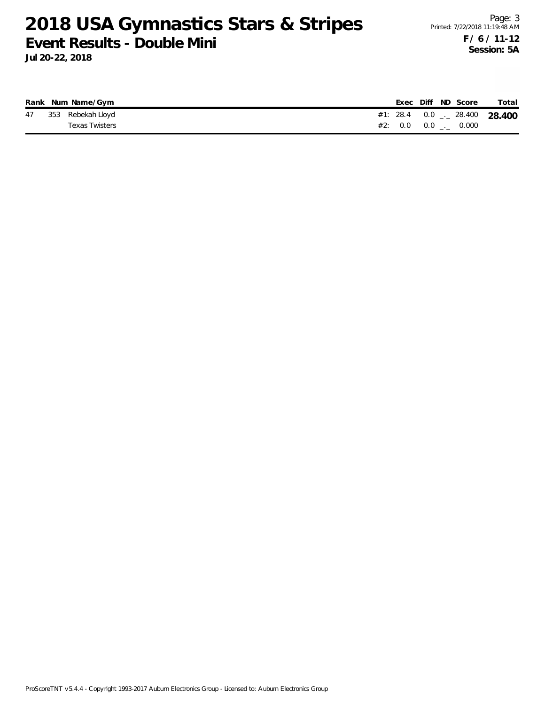|  | Rank Num Name/Gym    |  |  | Exec Diff ND Score            | Total                                      |
|--|----------------------|--|--|-------------------------------|--------------------------------------------|
|  | 47 353 Rebekah Lloyd |  |  |                               | #1: 28.4  0.0 $\frac{1}{2}$ 28.400  28.400 |
|  | Texas Twisters       |  |  | #2: $0.0$ $0.0$ $1.0$ $0.000$ |                                            |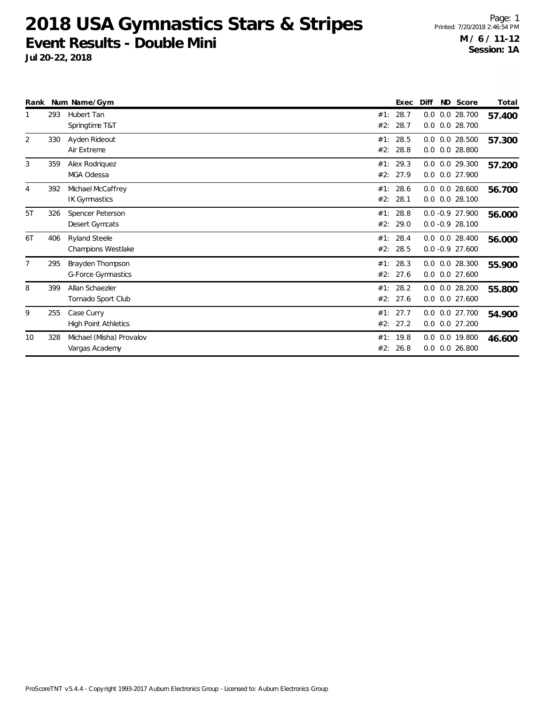|                |     | Rank Num Name/Gym                                 | ND Score<br>Exec<br>Diff                                                 | Total  |
|----------------|-----|---------------------------------------------------|--------------------------------------------------------------------------|--------|
|                | 293 | Hubert Tan<br>Springtime T&T                      | 28.7<br>$0.0$ $0.0$ 28.700<br>#1:<br>28.7<br>$0.0$ $0.0$ 28.700<br>#2:   | 57.400 |
| 2              | 330 | Ayden Rideout<br>Air Extreme                      | 28.5<br>$0.0$ $0.0$ 28.500<br>#1:<br>$0.0$ $0.0$ 28.800<br>#2:<br>28.8   | 57.300 |
| 3              | 359 | Alex Rodriquez<br>MGA Odessa                      | 29.3<br>$0.0$ $0.0$ 29.300<br>#1:<br>#2:<br>27.9<br>0.0<br>0.0 27.900    | 57.200 |
| 4              | 392 | Michael McCaffrey<br>IK Gymnastics                | 28.6<br>#1:<br>$0.0$ 28.600<br>0.0<br>#2:<br>28.1<br>$0.0$ 28.100<br>0.0 | 56.700 |
| 5T             | 326 | Spencer Peterson<br>Desert Gymcats                | 28.8<br>$0.0 - 0.9 27.900$<br>#1:<br>29.0<br>$0.0 - 0.9 28.100$<br>#2:   | 56.000 |
| 6T             | 406 | <b>Ryland Steele</b><br><b>Champions Westlake</b> | 28.4<br>$0.0$ $0.0$ 28.400<br>#1:<br>28.5<br>$0.0 - 0.9$ 27.600<br>#2:   | 56.000 |
| $\overline{7}$ | 295 | Brayden Thompson<br><b>G-Force Gymnastics</b>     | #1: 28.3<br>$0.0$ $0.0$ 28.300<br>$0.0$ $0.0$ 27.600<br>#2: 27.6         | 55.900 |
| 8              | 399 | Allan Schaezler<br>Tornado Sport Club             | 28.2<br>$0.0$ $0.0$ 28.200<br>#1:<br>27.6<br>0.0 27.600<br>#2:<br>0.0    | 55.800 |
| 9              | 255 | Case Curry<br><b>High Point Athletics</b>         | #1: 27.7<br>0.0 0.0 27.700<br>0.0 0.0 27.200<br>#2:<br>27.2              | 54.900 |
| 10             | 328 | Michael (Misha) Provalov<br>Vargas Academy        | 19.8<br>0.0 0.0 19.800<br>#1:<br>0.0 26.800<br>#2:<br>26.8<br>0.0        | 46.600 |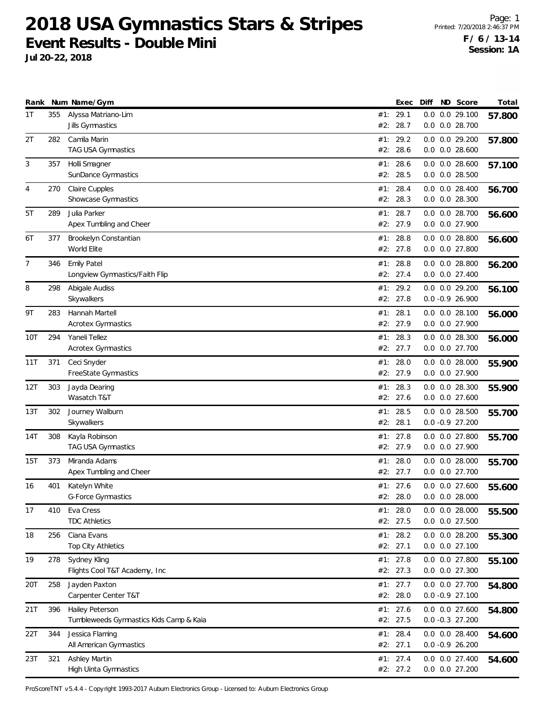**Jul 20-22, 2018**

| Rank           |     | Num Name/Gym                                               |     | Exec                   | Diff | ND Score                                 | Total  |
|----------------|-----|------------------------------------------------------------|-----|------------------------|------|------------------------------------------|--------|
| 1T             | 355 | Alyssa Matriano-Lim<br>Jills Gymnastics                    | #2: | #1: 29.1<br>28.7       | 0.0  | $0.0$ 29.100<br>$0.0$ $0.0$ 28.700       | 57.800 |
| 2T             | 282 | Camila Marin<br>TAG USA Gymnastics                         |     | #1: 29.2<br>#2: 28.6   |      | 0.0 0.0 29.200<br>$0.0$ $0.0$ 28.600     | 57.800 |
| 3              | 357 | Holli Smagner<br>SunDance Gymnastics                       | #1: | 28.6<br>#2: 28.5       |      | $0.0$ $0.0$ 28.600<br>$0.0$ $0.0$ 28.500 | 57.100 |
| $\overline{4}$ | 270 | Claire Cupples<br>Showcase Gymnastics                      | #2: | #1: 28.4<br>28.3       |      | $0.0$ $0.0$ 28.400<br>$0.0$ $0.0$ 28.300 | 56.700 |
| 5T             | 289 | Julia Parker<br>Apex Tumbling and Cheer                    | #1: | 28.7<br>#2: 27.9       |      | $0.0$ $0.0$ 28.700<br>0.0 0.0 27.900     | 56.600 |
| 6T             | 377 | Brookelyn Constantian<br>World Elite                       | #1: | 28.8<br>#2: 27.8       |      | $0.0$ $0.0$ 28.800<br>$0.0$ $0.0$ 27.800 | 56.600 |
| 7              | 346 | <b>Emily Patel</b><br>Longview Gymnastics/Faith Flip       |     | #1: 28.8<br>#2: 27.4   |      | $0.0$ $0.0$ 28.800<br>$0.0$ $0.0$ 27.400 | 56.200 |
| 8              | 298 | Abigale Audiss<br>Skywalkers                               | #1: | 29.2<br>#2: 27.8       |      | $0.0$ $0.0$ 29.200<br>$0.0 - 0.9 26.900$ | 56.100 |
| 9T             | 283 | Hannah Martell<br><b>Acrotex Gymnastics</b>                | #1: | 28.1<br>#2: 27.9       |      | $0.0$ $0.0$ 28.100<br>0.0 0.0 27.900     | 56.000 |
| 10T            | 294 | Yaneli Tellez<br><b>Acrotex Gymnastics</b>                 |     | #1: 28.3<br>#2: 27.7   |      | $0.0$ $0.0$ 28.300<br>0.0 0.0 27.700     | 56.000 |
| 11T            | 371 | Ceci Snyder<br>FreeState Gymnastics                        |     | #1: 28.0<br>#2: 27.9   |      | $0.0$ $0.0$ 28.000<br>0.0 0.0 27.900     | 55.900 |
| 12T            | 303 | Jayda Dearing<br>Wasatch T&T                               | #1: | 28.3<br>#2: 27.6       |      | 0.0 0.0 28.300<br>0.0 0.0 27.600         | 55.900 |
| 13T            | 302 | Journey Walburn<br>Skywalkers                              |     | #1: 28.5<br>#2: 28.1   |      | $0.0$ $0.0$ 28.500<br>$0.0 - 0.9 27.200$ | 55.700 |
| 14T            | 308 | Kayla Robinson<br>TAG USA Gymnastics                       |     | #1: 27.8<br>#2: 27.9   |      | $0.0$ $0.0$ 27.800<br>0.0 0.0 27.900     | 55.700 |
| 15T            | 373 | Miranda Adams<br>Apex Tumbling and Cheer                   | #1: | 28.0<br>#2: 27.7       |      | $0.0$ $0.0$ 28.000<br>0.0 0.0 27.700     | 55.700 |
| 16             | 401 | Katelyn White<br>G-Force Gymnastics                        |     | #1: 27.6<br>#2: 28.0   |      | $0.0$ $0.0$ 27.600<br>$0.0$ $0.0$ 28.000 | 55.600 |
| 17             | 410 | Eva Cress<br><b>TDC Athletics</b>                          |     | #1: 28.0<br>#2: 27.5   |      | $0.0$ $0.0$ 28.000<br>0.0 0.0 27.500     | 55.500 |
| 18             | 256 | Ciana Evans<br>Top City Athletics                          |     | #1: 28.2<br>#2: 27.1   |      | $0.0$ $0.0$ 28.200<br>$0.0$ $0.0$ 27.100 | 55.300 |
| 19             | 278 | Sydney Kling<br>Flights Cool T&T Academy, Inc              |     | #1: $27.8$<br>#2: 27.3 |      | 0.0 0.0 27.800<br>0.0 0.0 27.300         | 55.100 |
| 20T            | 258 | Jayden Paxton<br>Carpenter Center T&T                      |     | #1: $27.7$<br>#2: 28.0 |      | 0.0 0.0 27.700<br>$0.0 -0.927.100$       | 54.800 |
| 21T            | 396 | Hailey Peterson<br>Tumbleweeds Gymnastics Kids Camp & Kaia |     | #1: 27.6<br>#2: 27.5   |      | 0.0 0.0 27.600<br>$0.0 -0.3$ 27.200      | 54.800 |
| 22T            | 344 | Jessica Flaming<br>All American Gymnastics                 |     | #1: 28.4<br>#2: 27.1   |      | $0.0$ $0.0$ 28.400<br>$0.0 -0.9 26.200$  | 54.600 |
| 23T            | 321 | Ashley Martin<br>High Uinta Gymnastics                     |     | #1: 27.4<br>#2: 27.2   |      | 0.0 0.0 27.400<br>0.0 0.0 27.200         | 54.600 |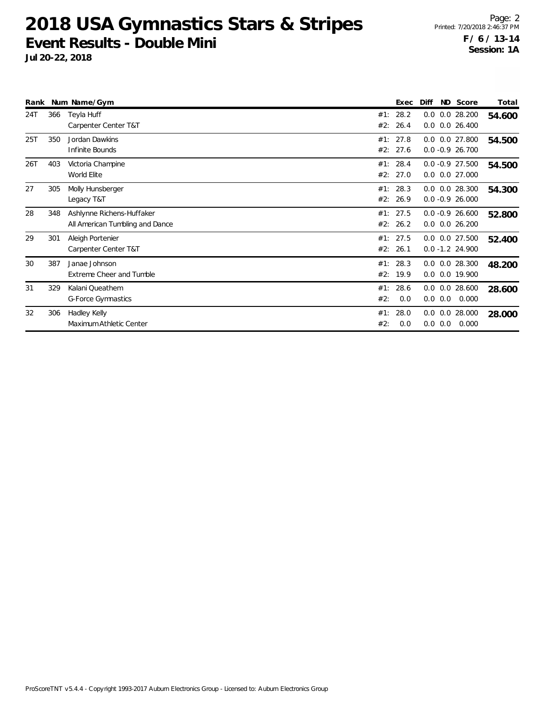|     |     | Rank Num Name/Gym                                            |            | Exec             | Diff |     | ND Score                                   | Total  |
|-----|-----|--------------------------------------------------------------|------------|------------------|------|-----|--------------------------------------------|--------|
| 24T | 366 | Teyla Huff<br>Carpenter Center T&T                           | #1:<br>#2: | 28.2<br>26.4     | 0.0  |     | $0.0$ 28.200<br>$0.0$ $0.0$ 26.400         | 54.600 |
| 25T | 350 | Jordan Dawkins<br>Infinite Bounds                            | #1:<br>#2: | 27.8<br>27.6     |      |     | $0.0$ $0.0$ 27.800<br>$0.0 - 0.9 26.700$   | 54.500 |
| 26T | 403 | Victoria Champine<br>World Elite                             | #1:<br>#2: | 28.4<br>27.0     |      |     | $0.0 -0.9$ 27.500<br>$0.0$ $0.0$ 27.000    | 54.500 |
| 27  | 305 | Molly Hunsberger<br>Legacy T&T                               | #1:<br>#2: | 28.3<br>26.9     |      |     | $0.0$ $0.0$ 28.300<br>$0.0 - 0.9 26.000$   | 54.300 |
| 28  | 348 | Ashlynne Richens-Huffaker<br>All American Tumbling and Dance | #1:<br>#2: | 27.5<br>26.2     |      |     | $0.0 - 0.9 26.600$<br>$0.0$ $0.0$ $26.200$ | 52.800 |
| 29  | 301 | Aleigh Portenier<br>Carpenter Center T&T                     | #2:        | #1: 27.5<br>26.1 |      |     | $0.0$ $0.0$ 27.500<br>$0.0 - 1.2 24.900$   | 52.400 |
| 30  | 387 | Janae Johnson<br>Extreme Cheer and Tumble                    | #1:<br>#2: | 28.3<br>19.9     | 0.0  |     | $0.0$ $0.0$ 28.300<br>0.0 19.900           | 48.200 |
| 31  | 329 | Kalani Queathem<br>G-Force Gymnastics                        | #1:<br>#2: | 28.6<br>0.0      | 0.0  | 0.0 | $0.0$ $0.0$ 28.600<br>0.000                | 28.600 |
| 32  | 306 | Hadley Kelly<br>Maximum Athletic Center                      | #1:<br>#2: | 28.0<br>0.0      | 0.0  | 0.0 | $0.0$ $0.0$ 28.000<br>0.000                | 28.000 |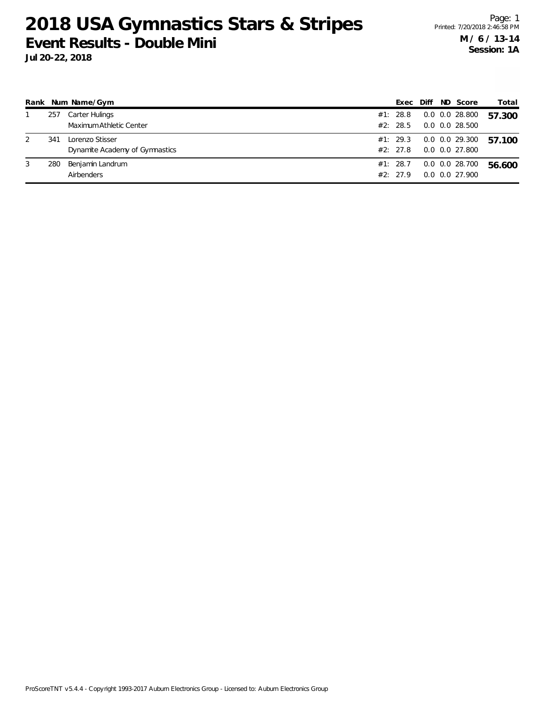| $5 - 22, 2010$ |  |  |
|----------------|--|--|
|                |  |  |
|                |  |  |
|                |  |  |

|   |     | Rank Num Name/Gym              | Exec     | Diff | ND Score           | Total  |
|---|-----|--------------------------------|----------|------|--------------------|--------|
|   | 257 | Carter Hulings                 | #1: 28.8 |      | $0.0$ $0.0$ 28.800 | 57.300 |
|   |     | Maximum Athletic Center        | #2: 28.5 |      | $0.0$ $0.0$ 28.500 |        |
|   | 341 | Lorenzo Stisser                | #1: 29.3 |      | 0.0 0.0 29.300     | 57.100 |
|   |     | Dynamite Academy of Gymnastics | #2: 27.8 |      | 0.0 0.0 27.800     |        |
| 3 | 280 | Benjamin Landrum               | #1: 28.7 |      | $0.0$ $0.0$ 28.700 | 56.600 |
|   |     | Airbenders                     | #2: 27.9 |      | 0.0 0.0 27.900     |        |